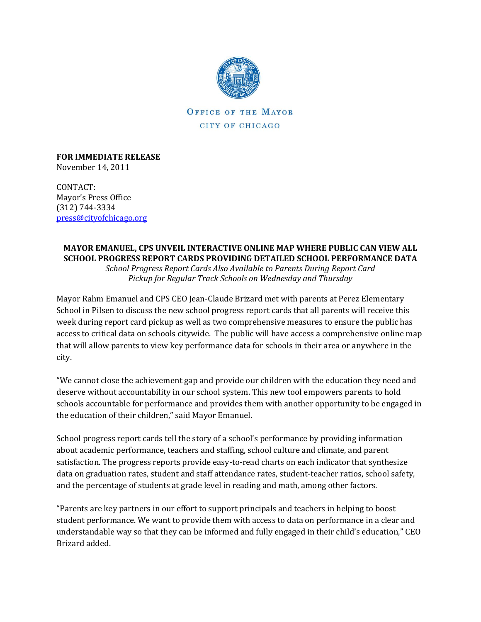

**OFFICE OF THE MAYOR** CITY OF CHICAGO

**FOR IMMEDIATE RELEASE**  November 14, 2011

CONTACT: Mayor's Press Office (312) 744-3334 [press@cityofchicago.org](mailto:press@cityofchicago.org)

## **MAYOR EMANUEL, CPS UNVEIL INTERACTIVE ONLINE MAP WHERE PUBLIC CAN VIEW ALL SCHOOL PROGRESS REPORT CARDS PROVIDING DETAILED SCHOOL PERFORMANCE DATA**

*School Progress Report Cards Also Available to Parents During Report Card Pickup for Regular Track Schools on Wednesday and Thursday*

Mayor Rahm Emanuel and CPS CEO Jean-Claude Brizard met with parents at Perez Elementary School in Pilsen to discuss the new school progress report cards that all parents will receive this week during report card pickup as well as two comprehensive measures to ensure the public has access to critical data on schools citywide. The public will have access a comprehensive online map that will allow parents to view key performance data for schools in their area or anywhere in the city.

"We cannot close the achievement gap and provide our children with the education they need and deserve without accountability in our school system. This new tool empowers parents to hold schools accountable for performance and provides them with another opportunity to be engaged in the education of their children," said Mayor Emanuel.

School progress report cards tell the story of a school's performance by providing information about academic performance, teachers and staffing, school culture and climate, and parent satisfaction. The progress reports provide easy-to-read charts on each indicator that synthesize data on graduation rates, student and staff attendance rates, student-teacher ratios, school safety, and the percentage of students at grade level in reading and math, among other factors.

"Parents are key partners in our effort to support principals and teachers in helping to boost student performance. We want to provide them with access to data on performance in a clear and understandable way so that they can be informed and fully engaged in their child's education," CEO Brizard added.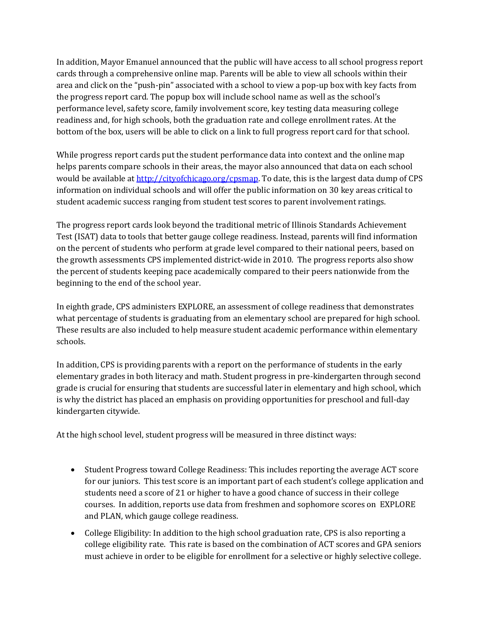In addition, Mayor Emanuel announced that the public will have access to all school progress report cards through a comprehensive online map. Parents will be able to view all schools within their area and click on the "push-pin" associated with a school to view a pop-up box with key facts from the progress report card. The popup box will include school name as well as the school's performance level, safety score, family involvement score, key testing data measuring college readiness and, for high schools, both the graduation rate and college enrollment rates. At the bottom of the box, users will be able to click on a link to full progress report card for that school.

While progress report cards put the student performance data into context and the online map helps parents compare schools in their areas, the mayor also announced that data on each school would be available at [http://cityofchicago.org/cpsmap.](http://cityofchicago.org/cpsmap) To date, this is the largest data dump of CPS information on individual schools and will offer the public information on 30 key areas critical to student academic success ranging from student test scores to parent involvement ratings.

The progress report cards look beyond the traditional metric of Illinois Standards Achievement Test (ISAT) data to tools that better gauge college readiness. Instead, parents will find information on the percent of students who perform at grade level compared to their national peers, based on the growth assessments CPS implemented district-wide in 2010. The progress reports also show the percent of students keeping pace academically compared to their peers nationwide from the beginning to the end of the school year.

In eighth grade, CPS administers EXPLORE, an assessment of college readiness that demonstrates what percentage of students is graduating from an elementary school are prepared for high school. These results are also included to help measure student academic performance within elementary schools.

In addition, CPS is providing parents with a report on the performance of students in the early elementary grades in both literacy and math. Student progress in pre-kindergarten through second grade is crucial for ensuring that students are successful later in elementary and high school, which is why the district has placed an emphasis on providing opportunities for preschool and full-day kindergarten citywide.

At the high school level, student progress will be measured in three distinct ways:

- Student Progress toward College Readiness: This includes reporting the average ACT score for our juniors. This test score is an important part of each student's college application and students need a score of 21 or higher to have a good chance of success in their college courses. In addition, reports use data from freshmen and sophomore scores on EXPLORE and PLAN, which gauge college readiness.
- College Eligibility: In addition to the high school graduation rate, CPS is also reporting a college eligibility rate. This rate is based on the combination of ACT scores and GPA seniors must achieve in order to be eligible for enrollment for a selective or highly selective college.